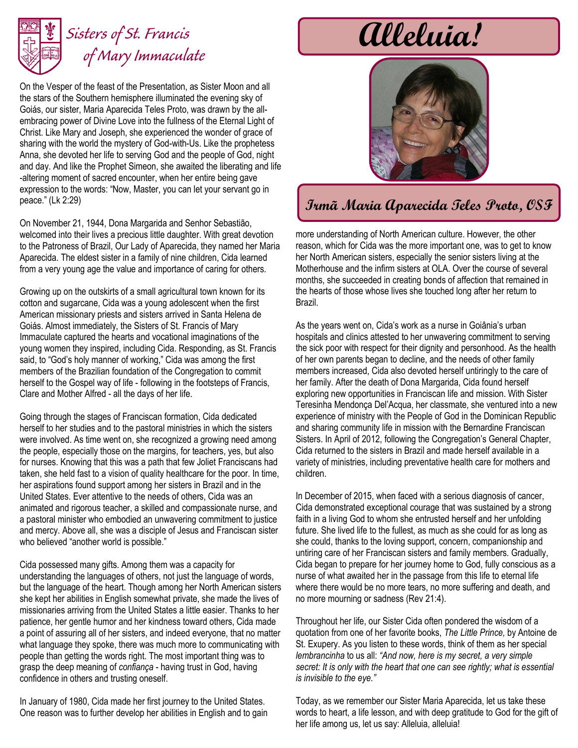

## *Sisters of St. Francis of Mary Immaculate*

On the Vesper of the feast of the Presentation, as Sister Moon and all the stars of the Southern hemisphere illuminated the evening sky of Goiás, our sister, Maria Aparecida Teles Proto, was drawn by the allembracing power of Divine Love into the fullness of the Eternal Light of Christ. Like Mary and Joseph, she experienced the wonder of grace of sharing with the world the mystery of God-with-Us. Like the prophetess Anna, she devoted her life to serving God and the people of God, night and day. And like the Prophet Simeon, she awaited the liberating and life -altering moment of sacred encounter, when her entire being gave expression to the words: "Now, Master, you can let your servant go in peace." (Lk 2:29)

On November 21, 1944, Dona Margarida and Senhor Sebastião, welcomed into their lives a precious little daughter. With great devotion to the Patroness of Brazil, Our Lady of Aparecida, they named her Maria Aparecida. The eldest sister in a family of nine children, Cida learned from a very young age the value and importance of caring for others.

Growing up on the outskirts of a small agricultural town known for its cotton and sugarcane, Cida was a young adolescent when the first American missionary priests and sisters arrived in Santa Helena de Goiás. Almost immediately, the Sisters of St. Francis of Mary Immaculate captured the hearts and vocational imaginations of the young women they inspired, including Cida. Responding, as St. Francis said, to "God's holy manner of working," Cida was among the first members of the Brazilian foundation of the Congregation to commit herself to the Gospel way of life - following in the footsteps of Francis, Clare and Mother Alfred - all the days of her life.

Going through the stages of Franciscan formation, Cida dedicated herself to her studies and to the pastoral ministries in which the sisters were involved. As time went on, she recognized a growing need among the people, especially those on the margins, for teachers, yes, but also for nurses. Knowing that this was a path that few Joliet Franciscans had taken, she held fast to a vision of quality healthcare for the poor. In time, her aspirations found support among her sisters in Brazil and in the United States. Ever attentive to the needs of others, Cida was an animated and rigorous teacher, a skilled and compassionate nurse, and a pastoral minister who embodied an unwavering commitment to justice and mercy. Above all, she was a disciple of Jesus and Franciscan sister who believed "another world is possible."

Cida possessed many gifts. Among them was a capacity for understanding the languages of others, not just the language of words, but the language of the heart. Though among her North American sisters she kept her abilities in English somewhat private, she made the lives of missionaries arriving from the United States a little easier. Thanks to her patience, her gentle humor and her kindness toward others, Cida made a point of assuring all of her sisters, and indeed everyone, that no matter what language they spoke, there was much more to communicating with people than getting the words right. The most important thing was to grasp the deep meaning of *confiança* - having trust in God, having confidence in others and trusting oneself.

In January of 1980, Cida made her first journey to the United States. One reason was to further develop her abilities in English and to gain





## **Irmã Maria Aparecida Teles Proto, OSF**

more understanding of North American culture. However, the other reason, which for Cida was the more important one, was to get to know her North American sisters, especially the senior sisters living at the Motherhouse and the infirm sisters at OLA. Over the course of several months, she succeeded in creating bonds of affection that remained in the hearts of those whose lives she touched long after her return to Brazil.

As the years went on, Cida's work as a nurse in Goiânia's urban hospitals and clinics attested to her unwavering commitment to serving the sick poor with respect for their dignity and personhood. As the health of her own parents began to decline, and the needs of other family members increased, Cida also devoted herself untiringly to the care of her family. After the death of Dona Margarida, Cida found herself exploring new opportunities in Franciscan life and mission. With Sister Teresinha Mendonça Del'Acqua, her classmate, she ventured into a new experience of ministry with the People of God in the Dominican Republic and sharing community life in mission with the Bernardine Franciscan Sisters. In April of 2012, following the Congregation's General Chapter, Cida returned to the sisters in Brazil and made herself available in a variety of ministries, including preventative health care for mothers and children.

In December of 2015, when faced with a serious diagnosis of cancer, Cida demonstrated exceptional courage that was sustained by a strong faith in a living God to whom she entrusted herself and her unfolding future. She lived life to the fullest, as much as she could for as long as she could, thanks to the loving support, concern, companionship and untiring care of her Franciscan sisters and family members. Gradually, Cida began to prepare for her journey home to God, fully conscious as a nurse of what awaited her in the passage from this life to eternal life where there would be no more tears, no more suffering and death, and no more mourning or sadness (Rev 21:4).

Throughout her life, our Sister Cida often pondered the wisdom of a quotation from one of her favorite books, *The Little Prince,* by Antoine de St. Exupery. As you listen to these words, think of them as her special *lembrancinha* to us all: *"And now, here is my secret, a very simple secret: It is only with the heart that one can see rightly; what is essential is invisible to the eye."*

Today, as we remember our Sister Maria Aparecida, let us take these words to heart, a life lesson, and with deep gratitude to God for the gift of her life among us, let us say: Alleluia, alleluia!